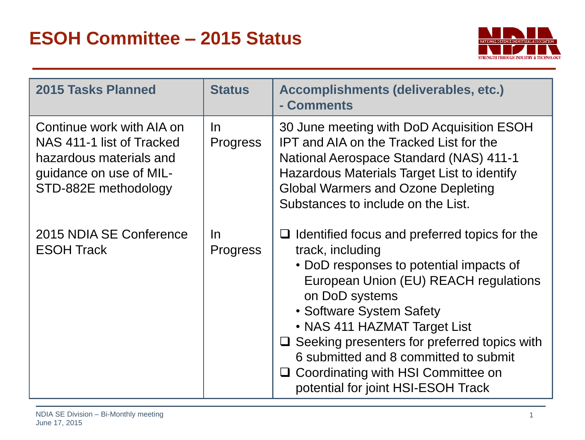

| <b>2015 Tasks Planned</b>                                                                                                            | <b>Status</b>          | Accomplishments (deliverables, etc.)<br>- Comments                                                                                                                                                                                                                                                                                                                                                                          |
|--------------------------------------------------------------------------------------------------------------------------------------|------------------------|-----------------------------------------------------------------------------------------------------------------------------------------------------------------------------------------------------------------------------------------------------------------------------------------------------------------------------------------------------------------------------------------------------------------------------|
| Continue work with AIA on<br>NAS 411-1 list of Tracked<br>hazardous materials and<br>guidance on use of MIL-<br>STD-882E methodology | In.<br><b>Progress</b> | 30 June meeting with DoD Acquisition ESOH<br>IPT and AIA on the Tracked List for the<br>National Aerospace Standard (NAS) 411-1<br>Hazardous Materials Target List to identify<br><b>Global Warmers and Ozone Depleting</b><br>Substances to include on the List.                                                                                                                                                           |
| 2015 NDIA SE Conference<br><b>ESOH Track</b>                                                                                         | In.<br><b>Progress</b> | $\Box$ Identified focus and preferred topics for the<br>track, including<br>• DoD responses to potential impacts of<br>European Union (EU) REACH regulations<br>on DoD systems<br>• Software System Safety<br>• NAS 411 HAZMAT Target List<br>$\Box$ Seeking presenters for preferred topics with<br>6 submitted and 8 committed to submit<br>Coordinating with HSI Committee on<br>⊔<br>potential for joint HSI-ESOH Track |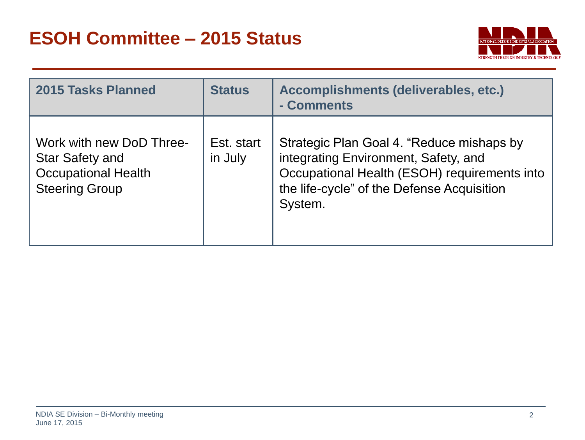

| 2015 Tasks Planned                                                                                        | <b>Status</b>         | Accomplishments (deliverables, etc.)<br>- Comments                                                                                                                                         |
|-----------------------------------------------------------------------------------------------------------|-----------------------|--------------------------------------------------------------------------------------------------------------------------------------------------------------------------------------------|
| Work with new DoD Three-<br><b>Star Safety and</b><br><b>Occupational Health</b><br><b>Steering Group</b> | Est. start<br>in July | Strategic Plan Goal 4. "Reduce mishaps by<br>integrating Environment, Safety, and<br>Occupational Health (ESOH) requirements into<br>the life-cycle" of the Defense Acquisition<br>System. |